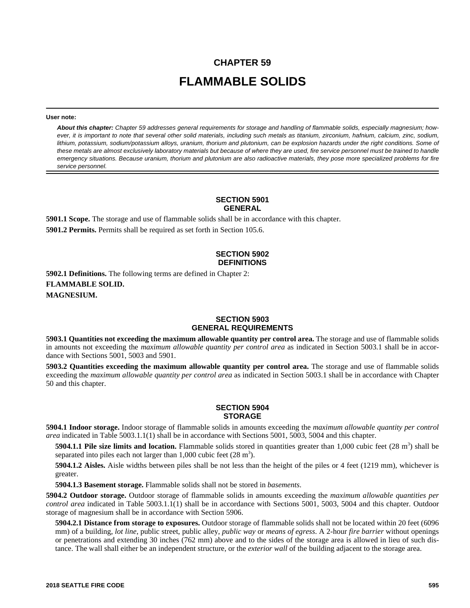# **CHAPTER 59 FLAMMABLE SOLIDS**

#### **User note:**

*About this chapter: Chapter 59 addresses general requirements for storage and handling of flammable solids, especially magnesium; however, it is important to note that several other solid materials, including such metals as titanium, zirconium, hafnium, calcium, zinc, sodium, lithium, potassium, sodium/potassium alloys, uranium, thorium and plutonium, can be explosion hazards under the right conditions. Some of these metals are almost exclusively laboratory materials but because of where they are used, fire service personnel must be trained to handle emergency situations. Because uranium, thorium and plutonium are also radioactive materials, they pose more specialized problems for fire service personnel.*

#### **SECTION 5901 GENERAL**

**5901.1 Scope.** The storage and use of flammable solids shall be in accordance with this chapter. **5901.2 Permits.** Permits shall be required as set forth in Section 105.6.

## **SECTION 5902 DEFINITIONS**

**5902.1 Definitions.** The following terms are defined in Chapter 2: **FLAMMABLE SOLID. MAGNESIUM.**

#### **SECTION 5903 GENERAL REQUIREMENTS**

**5903.1 Quantities not exceeding the maximum allowable quantity per control area.** The storage and use of flammable solids in amounts not exceeding the *maximum allowable quantity per control area* as indicated in Section 5003.1 shall be in accordance with Sections 5001, 5003 and 5901.

**5903.2 Quantities exceeding the maximum allowable quantity per control area.** The storage and use of flammable solids exceeding the *maximum allowable quantity per control area* as indicated in Section 5003.1 shall be in accordance with Chapter 50 and this chapter.

### **SECTION 5904 STORAGE**

**5904.1 Indoor storage.** Indoor storage of flammable solids in amounts exceeding the *maximum allowable quantity per control area* indicated in Table 5003.1.1(1) shall be in accordance with Sections 5001, 5003, 5004 and this chapter.

5904.1.1 Pile size limits and location. Flammable solids stored in quantities greater than 1,000 cubic feet (28 m<sup>3</sup>) shall be separated into piles each not larger than  $1,000$  cubic feet  $(28 \text{ m}^3)$ .

**5904.1.2 Aisles.** Aisle widths between piles shall be not less than the height of the piles or 4 feet (1219 mm), whichever is greater.

**5904.1.3 Basement storage.** Flammable solids shall not be stored in *basements*.

**5904.2 Outdoor storage.** Outdoor storage of flammable solids in amounts exceeding the *maximum allowable quantities per control area* indicated in Table 5003.1.1(1) shall be in accordance with Sections 5001, 5003, 5004 and this chapter. Outdoor storage of magnesium shall be in accordance with Section 5906.

**5904.2.1 Distance from storage to exposures.** Outdoor storage of flammable solids shall not be located within 20 feet (6096 mm) of a building, *lot line*, public street, public alley, *public way* or *means of egress*. A 2-hour *fire barrier* without openings or penetrations and extending 30 inches (762 mm) above and to the sides of the storage area is allowed in lieu of such distance. The wall shall either be an independent structure, or the *exterior wall* of the building adjacent to the storage area.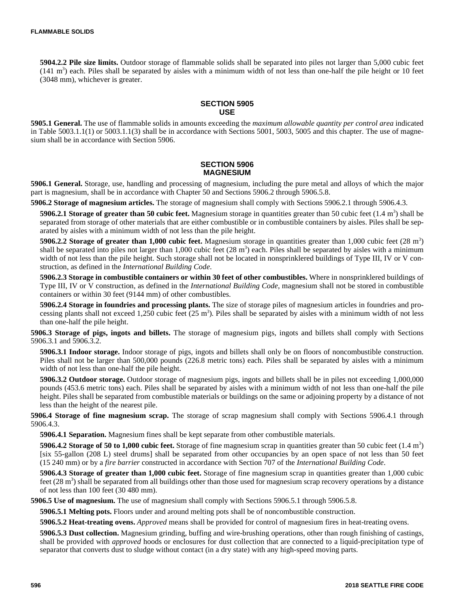**5904.2.2 Pile size limits.** Outdoor storage of flammable solids shall be separated into piles not larger than 5,000 cubic feet  $(141 \text{ m}^3)$  each. Piles shall be separated by aisles with a minimum width of not less than one-half the pile height or 10 feet (3048 mm), whichever is greater.

# **SECTION 5905 USE**

**5905.1 General.** The use of flammable solids in amounts exceeding the *maximum allowable quantity per control area* indicated in Table 5003.1.1(1) or 5003.1.1(3) shall be in accordance with Sections 5001, 5003, 5005 and this chapter. The use of magnesium shall be in accordance with Section 5906.

### **SECTION 5906 MAGNESIUM**

**5906.1 General.** Storage, use, handling and processing of magnesium, including the pure metal and alloys of which the major part is magnesium, shall be in accordance with Chapter 50 and Sections 5906.2 through 5906.5.8.

**5906.2 Storage of magnesium articles.** The storage of magnesium shall comply with Sections 5906.2.1 through 5906.4.3.

5906.2.1 Storage of greater than 50 cubic feet. Magnesium storage in quantities greater than 50 cubic feet (1.4 m<sup>3</sup>) shall be separated from storage of other materials that are either combustible or in combustible containers by aisles. Piles shall be separated by aisles with a minimum width of not less than the pile height.

5906.2.2 Storage of greater than 1,000 cubic feet. Magnesium storage in quantities greater than 1,000 cubic feet (28 m<sup>3</sup>) shall be separated into piles not larger than  $1,000$  cubic feet  $(28 \text{ m}^3)$  each. Piles shall be separated by aisles with a minimum width of not less than the pile height. Such storage shall not be located in nonsprinklered buildings of Type III, IV or V construction, as defined in the *International Building Code*.

**5906.2.3 Storage in combustible containers or within 30 feet of other combustibles.** Where in nonsprinklered buildings of Type III, IV or V construction, as defined in the *International Building Code*, magnesium shall not be stored in combustible containers or within 30 feet (9144 mm) of other combustibles.

**5906.2.4 Storage in foundries and processing plants.** The size of storage piles of magnesium articles in foundries and processing plants shall not exceed 1,250 cubic feet  $(25 \text{ m}^3)$ . Piles shall be separated by aisles with a minimum width of not less than one-half the pile height.

**5906.3 Storage of pigs, ingots and billets.** The storage of magnesium pigs, ingots and billets shall comply with Sections 5906.3.1 and 5906.3.2.

**5906.3.1 Indoor storage.** Indoor storage of pigs, ingots and billets shall only be on floors of noncombustible construction. Piles shall not be larger than 500,000 pounds (226.8 metric tons) each. Piles shall be separated by aisles with a minimum width of not less than one-half the pile height.

**5906.3.2 Outdoor storage.** Outdoor storage of magnesium pigs, ingots and billets shall be in piles not exceeding 1,000,000 pounds (453.6 metric tons) each. Piles shall be separated by aisles with a minimum width of not less than one-half the pile height. Piles shall be separated from combustible materials or buildings on the same or adjoining property by a distance of not less than the height of the nearest pile.

**5906.4 Storage of fine magnesium scrap.** The storage of scrap magnesium shall comply with Sections 5906.4.1 through 5906.4.3.

**5906.4.1 Separation.** Magnesium fines shall be kept separate from other combustible materials.

5906.4.2 Storage of 50 to 1,000 cubic feet. Storage of fine magnesium scrap in quantities greater than 50 cubic feet (1.4 m<sup>3</sup>) [six 55-gallon (208 L) steel drums] shall be separated from other occupancies by an open space of not less than 50 feet (15 240 mm) or by a *fire barrier* constructed in accordance with Section 707 of the *International Building Code*.

**5906.4.3 Storage of greater than 1,000 cubic feet.** Storage of fine magnesium scrap in quantities greater than 1,000 cubic feet  $(28 \text{ m}^3)$  shall be separated from all buildings other than those used for magnesium scrap recovery operations by a distance of not less than 100 feet (30 480 mm).

**5906.5 Use of magnesium.** The use of magnesium shall comply with Sections 5906.5.1 through 5906.5.8.

**5906.5.1 Melting pots.** Floors under and around melting pots shall be of noncombustible construction.

**5906.5.2 Heat-treating ovens.** *Approved* means shall be provided for control of magnesium fires in heat-treating ovens.

**5906.5.3 Dust collection.** Magnesium grinding, buffing and wire-brushing operations, other than rough finishing of castings, shall be provided with *approved* hoods or enclosures for dust collection that are connected to a liquid-precipitation type of separator that converts dust to sludge without contact (in a dry state) with any high-speed moving parts.